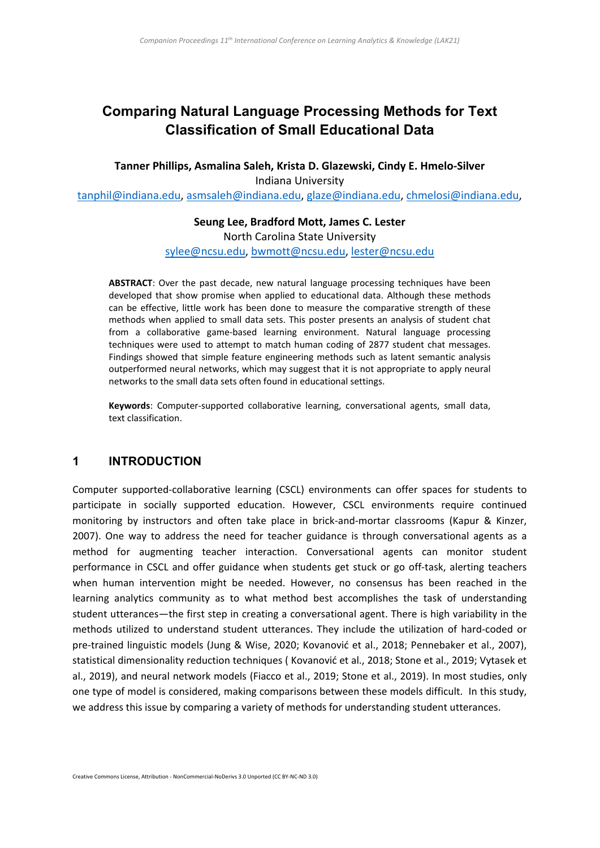# **Comparing Natural Language Processing Methods for Text Classification of Small Educational Data**

**Tanner Phillips, Asmalina Saleh, Krista D. Glazewski, Cindy E. Hmelo-Silver** Indiana University

[tanphil@indiana.edu,](mailto:tanphil@indiana.edu) [asmsaleh@indiana.edu,](mailto:asmsaleh@indiana.edu) [glaze@indiana.edu,](mailto:glaze@indiana.edu) [chmelosi@indiana.edu,](mailto:chmelosi@indiana.edu)

**Seung Lee, Bradford Mott, James C. Lester** North Carolina State University [sylee@ncsu.edu,](mailto:sylee@ncsu.edu) [bwmott@ncsu.edu,](mailto:bwmott@ncsu.edu) [lester@ncsu.edu](mailto:lester@ncsu.edu)

**ABSTRACT**: Over the past decade, new natural language processing techniques have been developed that show promise when applied to educational data. Although these methods can be effective, little work has been done to measure the comparative strength of these methods when applied to small data sets. This poster presents an analysis of student chat from a collaborative game-based learning environment. Natural language processing techniques were used to attempt to match human coding of 2877 student chat messages. Findings showed that simple feature engineering methods such as latent semantic analysis outperformed neural networks, which may suggest that it is not appropriate to apply neural networks to the small data sets often found in educational settings.

**Keywords**: Computer-supported collaborative learning, conversational agents, small data, text classification.

#### **1 INTRODUCTION**

Computer supported-collaborative learning (CSCL) environments can offer spaces for students to participate in socially supported education. However, CSCL environments require continued monitoring by instructors and often take place in brick-and-mortar classrooms (Kapur & Kinzer, 2007). One way to address the need for teacher guidance is through conversational agents as a method for augmenting teacher interaction. Conversational agents can monitor student performance in CSCL and offer guidance when students get stuck or go off-task, alerting teachers when human intervention might be needed. However, no consensus has been reached in the learning analytics community as to what method best accomplishes the task of understanding student utterances—the first step in creating a conversational agent. There is high variability in the methods utilized to understand student utterances. They include the utilization of hard-coded or pre-trained linguistic models (Jung & Wise, 2020; Kovanović et al., 2018; Pennebaker et al., 2007), statistical dimensionality reduction techniques ( Kovanović et al., 2018; Stone et al., 2019; Vytasek et al., 2019), and neural network models (Fiacco et al., 2019; Stone et al., 2019). In most studies, only one type of model is considered, making comparisons between these models difficult. In this study, we address this issue by comparing a variety of methods for understanding student utterances.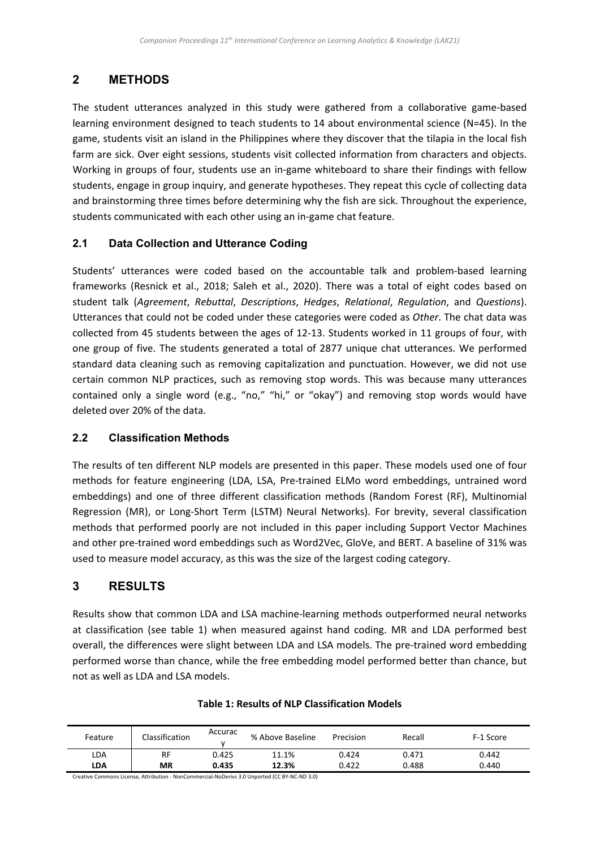# **2 METHODS**

The student utterances analyzed in this study were gathered from a collaborative game-based learning environment designed to teach students to 14 about environmental science (N=45). In the game, students visit an island in the Philippines where they discover that the tilapia in the local fish farm are sick. Over eight sessions, students visit collected information from characters and objects. Working in groups of four, students use an in-game whiteboard to share their findings with fellow students, engage in group inquiry, and generate hypotheses. They repeat this cycle of collecting data and brainstorming three times before determining why the fish are sick. Throughout the experience, students communicated with each other using an in-game chat feature.

### **2.1 Data Collection and Utterance Coding**

Students' utterances were coded based on the accountable talk and problem-based learning frameworks (Resnick et al., 2018; Saleh et al., 2020). There was a total of eight codes based on student talk (*Agreement*, *Rebuttal*, *Descriptions*, *Hedges*, *Relational*, *Regulation*, and *Questions*). Utterances that could not be coded under these categories were coded as *Other*. The chat data was collected from 45 students between the ages of 12-13. Students worked in 11 groups of four, with one group of five. The students generated a total of 2877 unique chat utterances. We performed standard data cleaning such as removing capitalization and punctuation. However, we did not use certain common NLP practices, such as removing stop words. This was because many utterances contained only a single word (e.g., "no," "hi," or "okay") and removing stop words would have deleted over 20% of the data.

### **2.2 Classification Methods**

The results of ten different NLP models are presented in this paper. These models used one of four methods for feature engineering (LDA, LSA, Pre-trained ELMo word embeddings, untrained word embeddings) and one of three different classification methods (Random Forest (RF), Multinomial Regression (MR), or Long-Short Term (LSTM) Neural Networks). For brevity, several classification methods that performed poorly are not included in this paper including Support Vector Machines and other pre-trained word embeddings such as Word2Vec, GloVe, and BERT. A baseline of 31% was used to measure model accuracy, as this was the size of the largest coding category.

## **3 RESULTS**

Results show that common LDA and LSA machine-learning methods outperformed neural networks at classification (see table 1) when measured against hand coding. MR and LDA performed best overall, the differences were slight between LDA and LSA models. The pre-trained word embedding performed worse than chance, while the free embedding model performed better than chance, but not as well as LDA and LSA models.

| Feature                                            | Classification | Accurac | % Above Baseline | Precision | Recall | F-1 Score |  |  |
|----------------------------------------------------|----------------|---------|------------------|-----------|--------|-----------|--|--|
| LDA                                                | <b>RF</b>      | 0.425   | 11.1%            | 0.424     | 0.471  | 0.442     |  |  |
| LDA                                                | MR             | 0.435   | 12.3%            | 0.422     | 0.488  | 0.440     |  |  |
| a it a the studies are the state in Hoopy House of |                |         |                  |           |        |           |  |  |

#### **Table 1: Results of NLP Classification Models**

Creative Commons License, Attribution - NonCommercial-NoDerivs 3.0 Unported (CC BY-NC-ND 3.0)